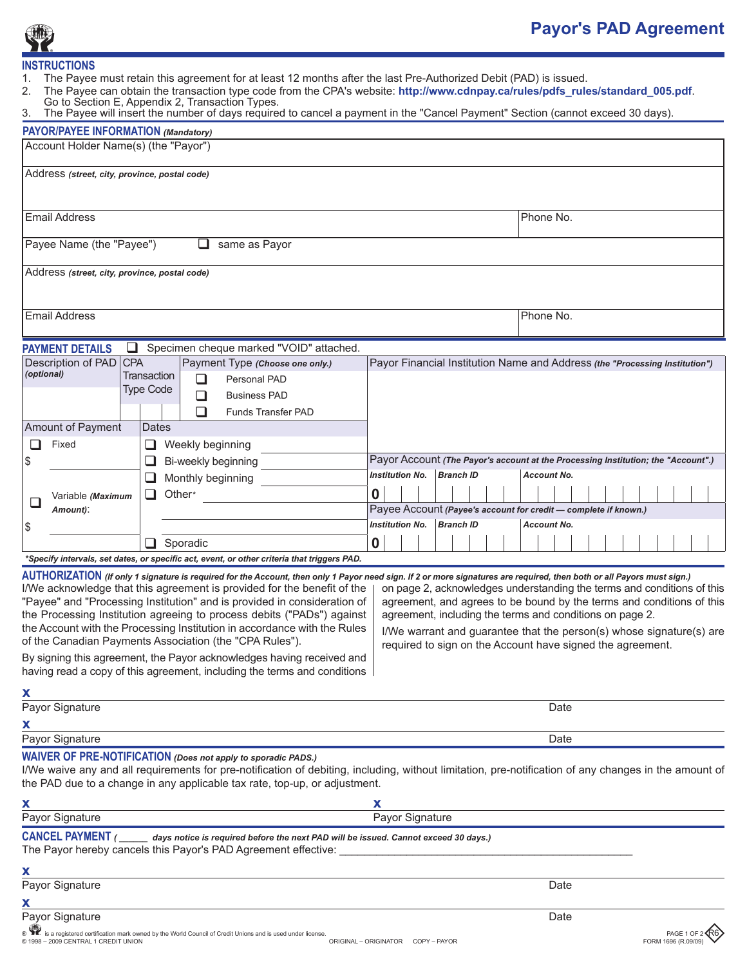

## **Payor's PAD Agreement**

## **INSTRUCTIONS**<br>1. The Payee

- 1. The Payee must retain this agreement for at least 12 months after the last Pre-Authorized Debit (PAD) is issued.
- 2. The Payee can obtain the transaction type code from the CPA's website: http://www.cdnpay.ca/rules/pdfs\_rules/standard\_005.pdf.
- Go to Section E, Appendix 2, Transaction Types.
- 3. The Payee will insert the number of days required to cancel a payment in the "Cancel Payment" Section (cannot exceed 30 days).

| <b>PAYOR/PAYEE INFORMATION (Mandatory)</b>                                                                                                                                                                                                                                                                                                                                                                                                                                                                                                     |                                                                                                                                                                                                                                                                                     |
|------------------------------------------------------------------------------------------------------------------------------------------------------------------------------------------------------------------------------------------------------------------------------------------------------------------------------------------------------------------------------------------------------------------------------------------------------------------------------------------------------------------------------------------------|-------------------------------------------------------------------------------------------------------------------------------------------------------------------------------------------------------------------------------------------------------------------------------------|
| Account Holder Name(s) (the "Payor")                                                                                                                                                                                                                                                                                                                                                                                                                                                                                                           |                                                                                                                                                                                                                                                                                     |
|                                                                                                                                                                                                                                                                                                                                                                                                                                                                                                                                                |                                                                                                                                                                                                                                                                                     |
| Address (street, city, province, postal code)                                                                                                                                                                                                                                                                                                                                                                                                                                                                                                  |                                                                                                                                                                                                                                                                                     |
|                                                                                                                                                                                                                                                                                                                                                                                                                                                                                                                                                |                                                                                                                                                                                                                                                                                     |
| <b>Email Address</b>                                                                                                                                                                                                                                                                                                                                                                                                                                                                                                                           | Phone No.                                                                                                                                                                                                                                                                           |
|                                                                                                                                                                                                                                                                                                                                                                                                                                                                                                                                                |                                                                                                                                                                                                                                                                                     |
| Payee Name (the "Payee")<br>same as Payor<br>ப                                                                                                                                                                                                                                                                                                                                                                                                                                                                                                 |                                                                                                                                                                                                                                                                                     |
| Address (street, city, province, postal code)                                                                                                                                                                                                                                                                                                                                                                                                                                                                                                  |                                                                                                                                                                                                                                                                                     |
|                                                                                                                                                                                                                                                                                                                                                                                                                                                                                                                                                |                                                                                                                                                                                                                                                                                     |
|                                                                                                                                                                                                                                                                                                                                                                                                                                                                                                                                                |                                                                                                                                                                                                                                                                                     |
| <b>Email Address</b>                                                                                                                                                                                                                                                                                                                                                                                                                                                                                                                           | Phone No.                                                                                                                                                                                                                                                                           |
|                                                                                                                                                                                                                                                                                                                                                                                                                                                                                                                                                |                                                                                                                                                                                                                                                                                     |
| Specimen cheque marked "VOID" attached.<br><b>PAYMENT DETAILS</b>                                                                                                                                                                                                                                                                                                                                                                                                                                                                              |                                                                                                                                                                                                                                                                                     |
| <b>Description of PAD</b><br><b>CPA</b><br>Payment Type (Choose one only.)<br>(optional)<br>Transaction                                                                                                                                                                                                                                                                                                                                                                                                                                        | Payor Financial Institution Name and Address (the "Processing Institution")                                                                                                                                                                                                         |
| Personal PAD<br>ப<br><b>Type Code</b>                                                                                                                                                                                                                                                                                                                                                                                                                                                                                                          |                                                                                                                                                                                                                                                                                     |
| ⊔<br><b>Business PAD</b>                                                                                                                                                                                                                                                                                                                                                                                                                                                                                                                       |                                                                                                                                                                                                                                                                                     |
| ⊔<br><b>Funds Transfer PAD</b>                                                                                                                                                                                                                                                                                                                                                                                                                                                                                                                 |                                                                                                                                                                                                                                                                                     |
| Amount of Payment<br>Dates                                                                                                                                                                                                                                                                                                                                                                                                                                                                                                                     |                                                                                                                                                                                                                                                                                     |
| Fixed<br>Weekly beginning<br>ப<br>ப                                                                                                                                                                                                                                                                                                                                                                                                                                                                                                            |                                                                                                                                                                                                                                                                                     |
| \$<br>Bi-weekly beginning<br>⊔                                                                                                                                                                                                                                                                                                                                                                                                                                                                                                                 | Payor Account (The Payor's account at the Processing Institution; the "Account".)<br><b>Institution No.</b><br><b>Branch ID</b><br><b>Account No.</b>                                                                                                                               |
| Monthly beginning<br>ப                                                                                                                                                                                                                                                                                                                                                                                                                                                                                                                         |                                                                                                                                                                                                                                                                                     |
| ❏<br>Other*<br>Variable (Maximum<br>⊔                                                                                                                                                                                                                                                                                                                                                                                                                                                                                                          | 0                                                                                                                                                                                                                                                                                   |
| Amount):                                                                                                                                                                                                                                                                                                                                                                                                                                                                                                                                       | Payee Account (Payee's account for credit - complete if known.)                                                                                                                                                                                                                     |
| \$                                                                                                                                                                                                                                                                                                                                                                                                                                                                                                                                             | <b>Institution No.</b><br><b>Branch ID</b><br><b>Account No.</b>                                                                                                                                                                                                                    |
| Sporadic<br>⊔                                                                                                                                                                                                                                                                                                                                                                                                                                                                                                                                  | 0                                                                                                                                                                                                                                                                                   |
| *Specify intervals, set dates, or specific act, event, or other criteria that triggers PAD.                                                                                                                                                                                                                                                                                                                                                                                                                                                    |                                                                                                                                                                                                                                                                                     |
| AUTHORIZATION (If only 1 signature is required for the Account, then only 1 Payor need sign. If 2 or more signatures are required, then both or all Payors must sign.)<br>I/We acknowledge that this agreement is provided for the benefit of the<br>"Payee" and "Processing Institution" and is provided in consideration of<br>the Processing Institution agreeing to process debits ("PADs") against<br>the Account with the Processing Institution in accordance with the Rules<br>of the Canadian Payments Association (the "CPA Rules"). | on page 2, acknowledges understanding the terms and conditions of this<br>agreement, and agrees to be bound by the terms and conditions of this<br>agreement, including the terms and conditions on page 2.<br>I/We warrant and guarantee that the person(s) whose signature(s) are |
| By signing this agreement, the Payor acknowledges having received and                                                                                                                                                                                                                                                                                                                                                                                                                                                                          | required to sign on the Account have signed the agreement.                                                                                                                                                                                                                          |
| having read a copy of this agreement, including the terms and conditions                                                                                                                                                                                                                                                                                                                                                                                                                                                                       |                                                                                                                                                                                                                                                                                     |
|                                                                                                                                                                                                                                                                                                                                                                                                                                                                                                                                                |                                                                                                                                                                                                                                                                                     |
| Payor Signature                                                                                                                                                                                                                                                                                                                                                                                                                                                                                                                                | Date                                                                                                                                                                                                                                                                                |
| х                                                                                                                                                                                                                                                                                                                                                                                                                                                                                                                                              |                                                                                                                                                                                                                                                                                     |
| Payor Signature                                                                                                                                                                                                                                                                                                                                                                                                                                                                                                                                | Date                                                                                                                                                                                                                                                                                |
| <b>WAIVER OF PRE-NOTIFICATION</b> (Does not apply to sporadic PADS.)<br>I/We waive any and all requirements for pre-notification of debiting, including, without limitation, pre-notification of any changes in the amount of<br>the PAD due to a change in any applicable tax rate, top-up, or adjustment.                                                                                                                                                                                                                                    |                                                                                                                                                                                                                                                                                     |
| x                                                                                                                                                                                                                                                                                                                                                                                                                                                                                                                                              | х                                                                                                                                                                                                                                                                                   |
| Payor Signature                                                                                                                                                                                                                                                                                                                                                                                                                                                                                                                                | Payor Signature                                                                                                                                                                                                                                                                     |
| $CANCEL$ PAYMENT ( $\_\_\_\_$ ays notice is required before the next PAD will be issued. Cannot exceed 30 days.)<br>The Payor hereby cancels this Payor's PAD Agreement effective:                                                                                                                                                                                                                                                                                                                                                             |                                                                                                                                                                                                                                                                                     |
| х                                                                                                                                                                                                                                                                                                                                                                                                                                                                                                                                              |                                                                                                                                                                                                                                                                                     |
| Payor Signature                                                                                                                                                                                                                                                                                                                                                                                                                                                                                                                                | Date                                                                                                                                                                                                                                                                                |
| х                                                                                                                                                                                                                                                                                                                                                                                                                                                                                                                                              |                                                                                                                                                                                                                                                                                     |
| Payor Signature                                                                                                                                                                                                                                                                                                                                                                                                                                                                                                                                | Date                                                                                                                                                                                                                                                                                |
| STR is a registered certification mark owned by the World Council of Credit Unions and is used under license.<br>C 1998 - 2009 CENTRAL 1 CREDIT UNION                                                                                                                                                                                                                                                                                                                                                                                          | ORIGINAL - ORIGINATOR COPY - PAYOR<br><b>FORM 1696</b>                                                                                                                                                                                                                              |